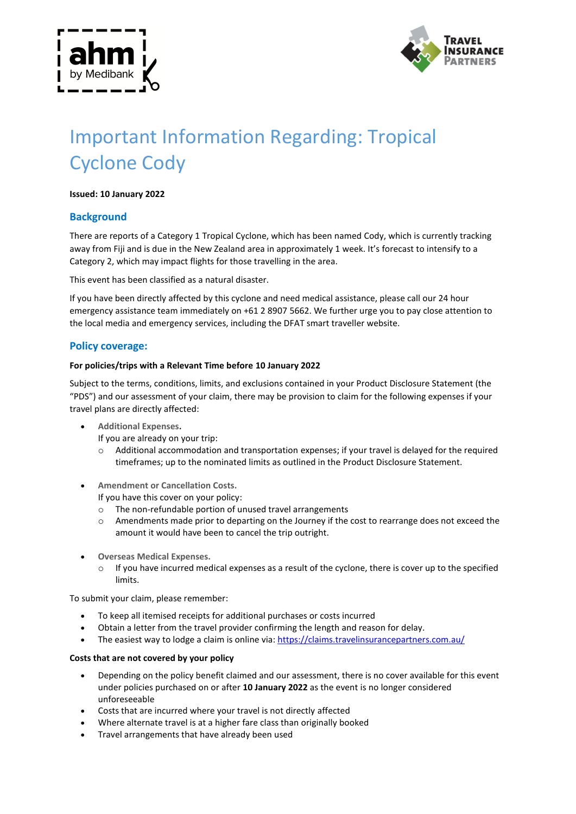



# Important Information Regarding: Tropical Cyclone Cody

### **Issued: 10 January 2022**

## **Background**

There are reports of a Category 1 Tropical Cyclone, which has been named Cody, which is currently tracking away from Fiji and is due in the New Zealand area in approximately 1 week. It's forecast to intensify to a Category 2, which may impact flights for those travelling in the area.

This event has been classified as a natural disaster.

If you have been directly affected by this cyclone and need medical assistance, please call our 24 hour emergency assistance team immediately on +61 2 8907 5662. We further urge you to pay close attention to the local media and emergency services, including the DFAT smart traveller website.

## **Policy coverage:**

#### **For policies/trips with a Relevant Time before 10 January 2022**

Subject to the terms, conditions, limits, and exclusions contained in your Product Disclosure Statement (the "PDS") and our assessment of your claim, there may be provision to claim for the following expenses if your travel plans are directly affected:

- **Additional Expenses.**
	- If you are already on your trip:
	- Additional accommodation and transportation expenses; if your travel is delayed for the required timeframes; up to the nominated limits as outlined in the Product Disclosure Statement.
- **Amendment or Cancellation Costs.**

If you have this cover on your policy:

- o The non-refundable portion of unused travel arrangements
- o Amendments made prior to departing on the Journey if the cost to rearrange does not exceed the amount it would have been to cancel the trip outright.
- **Overseas Medical Expenses.**
	- $\circ$  If you have incurred medical expenses as a result of the cyclone, there is cover up to the specified limits.

To submit your claim, please remember:

- To keep all itemised receipts for additional purchases or costs incurred
- Obtain a letter from the travel provider confirming the length and reason for delay.
- The easiest way to lodge a claim is online via: https://claims.travelinsurancepartners.com.au/

#### **Costs that are not covered by your policy**

- Depending on the policy benefit claimed and our assessment, there is no cover available for this event under policies purchased on or after **10 January 2022** as the event is no longer considered unforeseeable
- Costs that are incurred where your travel is not directly affected
- Where alternate travel is at a higher fare class than originally booked
- Travel arrangements that have already been used